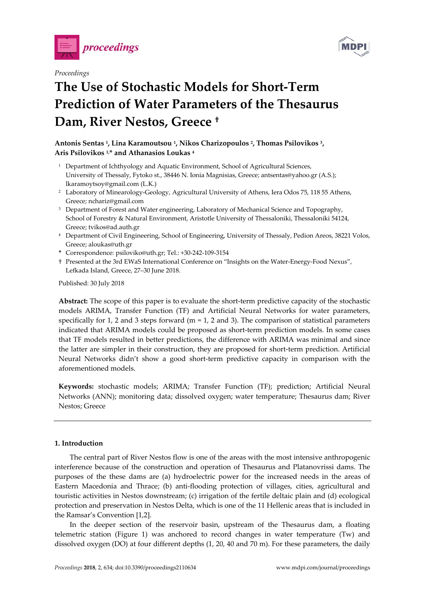



# *Proceedings*

# **The Use of Stochastic Models for Short‐Term Prediction of Water Parameters of the Thesaurus Dam, River Nestos, Greece †**

# **Antonis Sentas 1, Lina Karamoutsou 1, Nikos Charizopoulos 2, Thomas Psilovikos 3, Aris Psilovikos 1,\* and Athanasios Loukas <sup>4</sup>**

- <sup>1</sup> Department of Ichthyology and Aquatic Environment, School of Agricultural Sciences, University of Thessaly, Fytoko st., 38446 N. Ionia Magnisias, Greece; antsentas@yahoo.gr (A.S.); lkaramoytsoy@gmail.com (L.K.)
- <sup>2</sup> Laboratory of Minearology‐Geology, Agricultural University of Athens, Iera Odos 75, 118 55 Athens, Greece; nchariz@gmail.com
- <sup>3</sup> Department of Forest and Water engineering, Laboratory of Mechanical Science and Topography, School of Forestry & Natural Environment, Aristotle University of Thessaloniki, Thessaloniki 54124, Greece; tvikos@ad.auth.gr
- <sup>4</sup> Department of Civil Engineering, School of Engineering, University of Thessaly, Pedion Areos, 38221 Volos, Greece; aloukas@uth.gr
- **\*** Correspondence: psiloviko@uth.gr; Tel.: +30‐242‐109‐3154
- † Presented at the 3rd EWaS International Conference on "Insights on the Water‐Energy‐Food Nexus", Lefkada Island, Greece, 27–30 June 2018.

Published: 30 July 2018

Abstract: The scope of this paper is to evaluate the short-term predictive capacity of the stochastic models ARIMA, Transfer Function (TF) and Artificial Neural Networks for water parameters, specifically for 1, 2 and 3 steps forward ( $m = 1$ , 2 and 3). The comparison of statistical parameters indicated that ARIMA models could be proposed as short-term prediction models. In some cases that TF models resulted in better predictions, the difference with ARIMA was minimal and since the latter are simpler in their construction, they are proposed for short-term prediction. Artificial Neural Networks didn't show a good short-term predictive capacity in comparison with the aforementioned models.

**Keywords:** stochastic models; ARIMA; Transfer Function (TF); prediction; Artificial Neural Networks (ANN); monitoring data; dissolved oxygen; water temperature; Thesaurus dam; River Nestos; Greece

# **1. Introduction**

The central part of River Nestos flow is one of the areas with the most intensive anthropogenic interference because of the construction and operation of Thesaurus and Platanovrissi dams. The purposes of the these dams are (a) hydroelectric power for the increased needs in the areas of Eastern Macedonia and Thrace; (b) anti-flooding protection of villages, cities, agricultural and touristic activities in Nestos downstream; (c) irrigation of the fertile deltaic plain and (d) ecological protection and preservation in Nestos Delta, which is one of the 11 Hellenic areas that is included in the Ramsar's Convention [1,2].

In the deeper section of the reservoir basin, upstream of the Thesaurus dam, a floating telemetric station (Figure 1) was anchored to record changes in water temperature (Tw) and dissolved oxygen (DO) at four different depths (1, 20, 40 and 70 m). For these parameters, the daily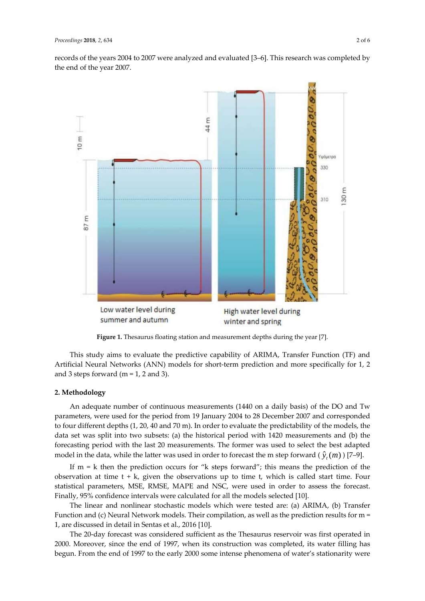records of the years 2004 to 2007 were analyzed and evaluated [3–6]. This research was completed by the end of the year 2007.



**Figure 1.** Thesaurus floating station and measurement depths during the year [7].

This study aims to evaluate the predictive capability of ARIMA, Transfer Function (TF) and Artificial Neural Networks (ANN) models for short-term prediction and more specifically for 1, 2 and 3 steps forward ( $m = 1$ , 2 and 3).

## **2. Methodology**

An adequate number of continuous measurements (1440 on a daily basis) of the DO and Tw parameters, were used for the period from 19 January 2004 to 28 December 2007 and corresponded to four different depths (1, 20, 40 and 70 m). In order to evaluate the predictability of the models, the data set was split into two subsets: (a) the historical period with 1420 measurements and (b) the forecasting period with the last 20 measurements. The former was used to select the best adapted model in the data, while the latter was used in order to forecast the m step forward  $(\hat{y}_r(m))$  [7–9].

If  $m = k$  then the prediction occurs for "k steps forward"; this means the prediction of the observation at time  $t + k$ , given the observations up to time t, which is called start time. Four statistical parameters, MSE, RMSE, MAPE and NSC, were used in order to assess the forecast. Finally, 95% confidence intervals were calculated for all the models selected [10].

The linear and nonlinear stochastic models which were tested are: (a) ARIMA, (b) Transfer Function and (c) Neural Network models. Their compilation, as well as the prediction results for m = 1, are discussed in detail in Sentas et al., 2016 [10].

The 20-day forecast was considered sufficient as the Thesaurus reservoir was first operated in 2000. Moreover, since the end of 1997, when its construction was completed, its water filling has begun. From the end of 1997 to the early 2000 some intense phenomena of water's stationarity were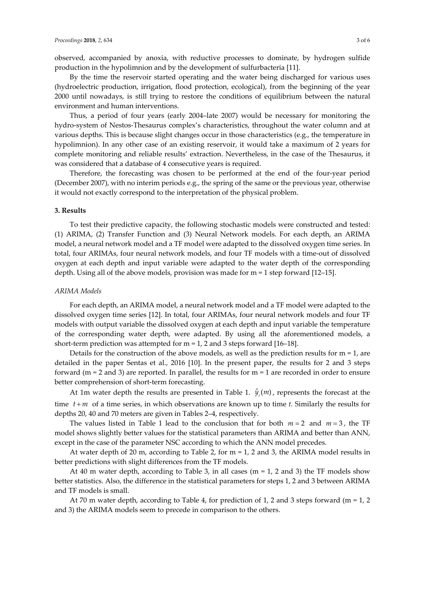observed, accompanied by anoxia, with reductive processes to dominate, by hydrogen sulfide production in the hypolimnion and by the development of sulfurbacteria [11].

By the time the reservoir started operating and the water being discharged for various uses (hydroelectric production, irrigation, flood protection, ecological), from the beginning of the year 2000 until nowadays, is still trying to restore the conditions of equilibrium between the natural environment and human interventions.

Thus, a period of four years (early 2004–late 2007) would be necessary for monitoring the hydro‐system of Nestos‐Thesaurus complex's characteristics, throughout the water column and at various depths. This is because slight changes occur in those characteristics (e.g., the temperature in hypolimnion). In any other case of an existing reservoir, it would take a maximum of 2 years for complete monitoring and reliable results' extraction. Nevertheless, in the case of the Thesaurus, it was considered that a database of 4 consecutive years is required.

Therefore, the forecasting was chosen to be performed at the end of the four‐year period (December 2007), with no interim periods e.g., the spring of the same or the previous year, otherwise it would not exactly correspond to the interpretation of the physical problem.

#### **3. Results**

To test their predictive capacity, the following stochastic models were constructed and tested: (1) ARIMA, (2) Transfer Function and (3) Neural Network models. For each depth, an ARIMA model, a neural network model and a TF model were adapted to the dissolved oxygen time series. In total, four ARIMAs, four neural network models, and four TF models with a time‐out of dissolved oxygen at each depth and input variable were adapted to the water depth of the corresponding depth. Using all of the above models, provision was made for m = 1 step forward [12–15].

### *ARIMA Models*

For each depth, an ARIMA model, a neural network model and a TF model were adapted to the dissolved oxygen time series [12]. In total, four ARIMAs, four neural network models and four TF models with output variable the dissolved oxygen at each depth and input variable the temperature of the corresponding water depth, were adapted. By using all the aforementioned models, a short-term prediction was attempted for  $m = 1$ , 2 and 3 steps forward [16–18].

Details for the construction of the above models, as well as the prediction results for  $m = 1$ , are detailed in the paper Sentas et al., 2016 [10]. In the present paper, the results for 2 and 3 steps forward ( $m = 2$  and 3) are reported. In parallel, the results for  $m = 1$  are recorded in order to ensure better comprehension of short-term forecasting.

At 1m water depth the results are presented in Table 1.  $\hat{y}_i(m)$ , represents the forecast at the time  $t+m$  of a time series, in which observations are known up to time *t*. Similarly the results for depths 20, 40 and 70 meters are given in Tables 2–4, respectively.

The values listed in Table 1 lead to the conclusion that for both  $m = 2$  and  $m = 3$ , the TF model shows slightly better values for the statistical parameters than ARIMA and better than ANN, except in the case of the parameter NSC according to which the ANN model precedes.

At water depth of 20 m, according to Table 2, for  $m = 1$ , 2 and 3, the ARIMA model results in better predictions with slight differences from the TF models.

At 40 m water depth, according to Table 3, in all cases ( $m = 1$ , 2 and 3) the TF models show better statistics. Also, the difference in the statistical parameters for steps 1, 2 and 3 between ARIMA and TF models is small.

At 70 m water depth, according to Table 4, for prediction of 1, 2 and 3 steps forward (m = 1, 2 and 3) the ARIMA models seem to precede in comparison to the others.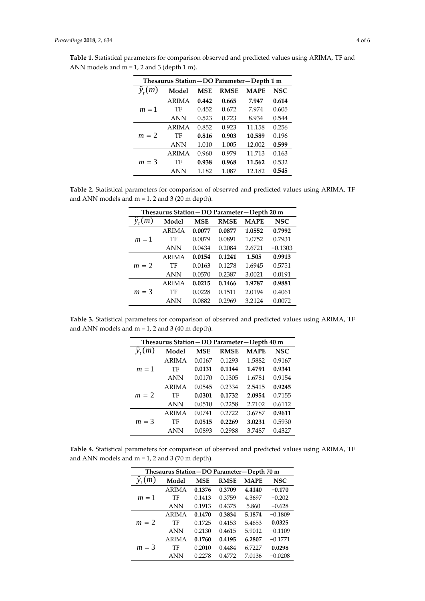| Thesaurus Station-DO Parameter-Depth 1 m |              |            |             |             |            |
|------------------------------------------|--------------|------------|-------------|-------------|------------|
| $\hat{y}_t(m)$                           | Model        | <b>MSE</b> | <b>RMSE</b> | <b>MAPE</b> | <b>NSC</b> |
|                                          | <b>ARIMA</b> | 0.442      | 0.665       | 7.947       | 0.614      |
| $m=1$                                    | TF           | 0.452      | 0.672       | 7.974       | 0.605      |
|                                          | <b>ANN</b>   | 0.523      | 0.723       | 8.934       | 0.544      |
|                                          | <b>ARIMA</b> | 0.852      | 0.923       | 11.158      | 0.256      |
| $m=2$                                    | TF           | 0.816      | 0.903       | 10.589      | 0.196      |
|                                          | <b>ANN</b>   | 1.010      | 1.005       | 12.002      | 0.599      |
|                                          | <b>ARIMA</b> | 0.960      | 0.979       | 11.713      | 0.163      |
| $m = 3$                                  | TF           | 0.938      | 0.968       | 11.562      | 0.532      |
|                                          | <b>ANN</b>   | 1.182      | 1.087       | 12.182      | 0.545      |

**Table 1.** Statistical parameters for comparison observed and predicted values using ARIMA, TF and ANN models and  $m = 1$ , 2 and 3 (depth 1 m).

**Table 2.** Statistical parameters for comparison of observed and predicted values using ARIMA, TF and ANN models and  $m = 1$ , 2 and 3 (20 m depth).

| Thesaurus Station-DO Parameter-Depth 20 m |              |            |             |             |           |
|-------------------------------------------|--------------|------------|-------------|-------------|-----------|
| $\tilde{v}_{n}(m)$                        | Model        | <b>MSE</b> | <b>RMSE</b> | <b>MAPE</b> | NSC       |
| $m=1$                                     | <b>ARIMA</b> | 0.0077     | 0.0877      | 1.0552      | 0.7992    |
|                                           | TF           | 0.0079     | 0.0891      | 1.0752      | 0.7931    |
|                                           | <b>ANN</b>   | 0.0434     | 0.2084      | 2.6721      | $-0.1303$ |
|                                           | <b>ARIMA</b> | 0.0154     | 0.1241      | 1.505       | 0.9913    |
| $m = 2$                                   | TF           | 0.0163     | 0.1278      | 1.6945      | 0.5751    |
|                                           | <b>ANN</b>   | 0.0570     | 0.2387      | 3.0021      | 0.0191    |
| $m = 3$                                   | <b>ARIMA</b> | 0.0215     | 0.1466      | 1.9787      | 0.9881    |
|                                           | TF           | 0.0228     | 0.1511      | 2.0194      | 0.4061    |
|                                           | ANN          | 0.0882     | 0.2969      | 3.2124      | 0.0072    |

**Table 3.** Statistical parameters for comparison of observed and predicted values using ARIMA, TF and ANN models and  $m = 1$ , 2 and 3 (40 m depth).

| Thesaurus Station-DO Parameter-Depth 40 m |              |            |             |             |            |
|-------------------------------------------|--------------|------------|-------------|-------------|------------|
| (m)                                       | Model        | <b>MSE</b> | <b>RMSE</b> | <b>MAPE</b> | <b>NSC</b> |
| $m=1$                                     | <b>ARIMA</b> | 0.0167     | 0.1293      | 1.5882      | 0.9167     |
|                                           | TF           | 0.0131     | 0.1144      | 1.4791      | 0.9341     |
|                                           | <b>ANN</b>   | 0.0170     | 0.1305      | 1.6781      | 0.9154     |
| $m = 2$                                   | <b>ARIMA</b> | 0.0545     | 0.2334      | 2.5415      | 0.9245     |
|                                           | TF           | 0.0301     | 0.1732      | 2.0954      | 0.7155     |
|                                           | <b>ANN</b>   | 0.0510     | 0.2258      | 2.7102      | 0.6112     |
|                                           | <b>ARIMA</b> | 0.0741     | 0.2722      | 3.6787      | 0.9611     |
| $m = 3$                                   | TF           | 0.0515     | 0.2269      | 3.0231      | 0.5930     |
|                                           | <b>ANN</b>   | 0.0893     | 0.2988      | 3.7487      | 0.4327     |

**Table 4.** Statistical parameters for comparison of observed and predicted values using ARIMA, TF and ANN models and  $m = 1$ , 2 and 3 (70 m depth).

| Thesaurus Station - DO Parameter - Depth 70 m |              |            |             |             |           |
|-----------------------------------------------|--------------|------------|-------------|-------------|-----------|
| m                                             | Model        | <b>MSE</b> | <b>RMSE</b> | <b>MAPE</b> | NSC.      |
|                                               | <b>ARIMA</b> | 0.1376     | 0.3709      | 4.4140      | $-0.170$  |
| $m=1$                                         | ТF           | 0.1413     | 0.3759      | 4.3697      | $-0.202$  |
|                                               | <b>ANN</b>   | 0.1913     | 0.4375      | 5.860       | $-0.628$  |
|                                               | <b>ARIMA</b> | 0.1470     | 0.3834      | 5.1874      | $-0.1809$ |
| $m = 2$                                       | TF           | 0.1725     | 0.4153      | 5.4653      | 0.0325    |
|                                               | <b>ANN</b>   | 0.2130     | 0.4615      | 5.9012      | $-0.1109$ |
|                                               | <b>ARIMA</b> | 0.1760     | 0.4195      | 6.2807      | $-0.1771$ |
| $m = 3$                                       | ТF           | 0.2010     | 0.4484      | 6.7227      | 0.0298    |
|                                               | <b>ANN</b>   | 0.2278     | 0.4772      | 7.0136      | $-0.0208$ |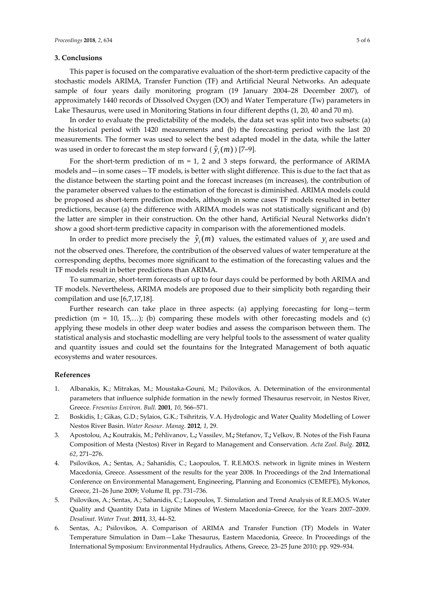## **3. Conclusions**

This paper is focused on the comparative evaluation of the short‐term predictive capacity of the stochastic models ARIMA, Transfer Function (TF) and Artificial Neural Networks. An adequate sample of four years daily monitoring program (19 January 2004–28 December 2007), of approximately 1440 records of Dissolved Oxygen (DO) and Water Temperature (Tw) parameters in Lake Thesaurus, were used in Monitoring Stations in four different depths (1, 20, 40 and 70 m).

In order to evaluate the predictability of the models, the data set was split into two subsets: (a) the historical period with 1420 measurements and (b) the forecasting period with the last 20 measurements. The former was used to select the best adapted model in the data, while the latter was used in order to forecast the m step forward  $(\hat{y}_t(m))$  [7–9].

For the short-term prediction of  $m = 1$ , 2 and 3 steps forward, the performance of ARIMA models and—in some cases—TF models, is better with slight difference. This is due to the fact that as the distance between the starting point and the forecast increases (m increases), the contribution of the parameter observed values to the estimation of the forecast is diminished. ARIMA models could be proposed as short-term prediction models, although in some cases TF models resulted in better predictions, because (a) the difference with ARIMA models was not statistically significant and (b) the latter are simpler in their construction. On the other hand, Artificial Neural Networks didn't show a good short-term predictive capacity in comparison with the aforementioned models.

In order to predict more precisely the  $\hat{y}$ ,  $(m)$  values, the estimated values of y, are used and not the observed ones. Therefore, the contribution of the observed values of water temperature at the corresponding depths, becomes more significant to the estimation of the forecasting values and the TF models result in better predictions than ARIMA.

To summarize, short-term forecasts of up to four days could be performed by both ARIMA and TF models. Nevertheless, ARIMA models are proposed due to their simplicity both regarding their compilation and use [6,7,17,18].

Further research can take place in three aspects: (a) applying forecasting for long—term prediction ( $m = 10, 15,...$ ); (b) comparing these models with other forecasting models and (c) applying these models in other deep water bodies and assess the comparison between them. The statistical analysis and stochastic modelling are very helpful tools to the assessment of water quality and quantity issues and could set the fountains for the Integrated Management of both aquatic ecosystems and water resources.

#### **References**

- 1. Albanakis, K.; Mitrakas, M.; Moustaka‐Gouni, M.; Psilovikos, A. Determination of the environmental parameters that influence sulphide formation in the newly formed Thesaurus reservoir, in Nestos River, Greece. *Fresenius Environ. Bull.* **2001**, *10*, 566–571.
- 2. Boskidis, I.; Gikas, G.D.; Sylaios, G.K.; Tsihritzis, V.A. Hydrologic and Water Quality Modelling of Lower Nestos River Basin. *Water Resour. Manag.* **2012**, *1*, 29.
- 3. Apostolou, A**.;** Koutrakis, M.; Pehlivanov, L**.;** Vassilev, M**.;** Stefanov, T**.;** Velkov, B. Notes of the Fish Fauna Composition of Mesta (Nestos) River in Regard to Management and Conservation. *Acta Zool. Bulg*. **2012**, *62*, 271–276.
- 4. Psilovikos, A.; Sentas, A.; Sahanidis, C.; Laopoulos, T. R.E.MO.S. network in lignite mines in Western Macedonia, Greece. Assessment of the results for the year 2008. In Proceedings of the 2nd International Conference on Environmental Management, Engineering, Planning and Economics (CEMEPE), Mykonos, Greece, 21–26 June 2009; Volume II, pp. 731–736.
- 5. Psilovikos, A.; Sentas, A.; Sahanidis, C.; Laopoulos, T. Simulation and Trend Analysis of R.E.MO.S. Water Quality and Quantity Data in Lignite Mines of Western Macedonia–Greece, for the Years 2007–2009. *Desalinat. Water Treat.* **2011**, *33*, 44–52.
- 6. Sentas, A.; Psilovikos, A. Comparison of ARIMA and Transfer Function (TF) Models in Water Temperature Simulation in Dam—Lake Thesaurus, Eastern Macedonia, Greece. In Proceedings of the International Symposium: Environmental Hydraulics, Athens, Greece, 23–25 June 2010; pp. 929–934.